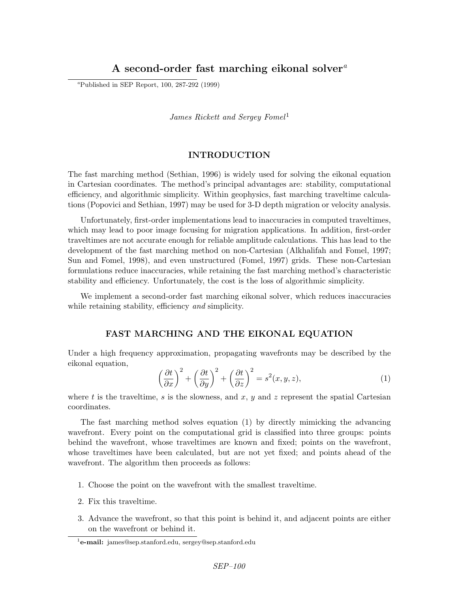# A second-order fast marching eikonal solver<sup>a</sup>

<sup>a</sup>Published in SEP Report,  $100$ ,  $287-292$  (1999)

James Rickett and Sergey Fomel<sup>1</sup>

### INTRODUCTION

The fast marching method (Sethian, 1996) is widely used for solving the eikonal equation in Cartesian coordinates. The method's principal advantages are: stability, computational efficiency, and algorithmic simplicity. Within geophysics, fast marching traveltime calculations (Popovici and Sethian, 1997) may be used for 3-D depth migration or velocity analysis.

Unfortunately, first-order implementations lead to inaccuracies in computed traveltimes, which may lead to poor image focusing for migration applications. In addition, first-order traveltimes are not accurate enough for reliable amplitude calculations. This has lead to the development of the fast marching method on non-Cartesian (Alkhalifah and Fomel, 1997; Sun and Fomel, 1998), and even unstructured (Fomel, 1997) grids. These non-Cartesian formulations reduce inaccuracies, while retaining the fast marching method's characteristic stability and efficiency. Unfortunately, the cost is the loss of algorithmic simplicity.

We implement a second-order fast marching eikonal solver, which reduces inaccuracies while retaining stability, efficiency and simplicity.

## FAST MARCHING AND THE EIKONAL EQUATION

Under a high frequency approximation, propagating wavefronts may be described by the eikonal equation,

$$
\left(\frac{\partial t}{\partial x}\right)^2 + \left(\frac{\partial t}{\partial y}\right)^2 + \left(\frac{\partial t}{\partial z}\right)^2 = s^2(x, y, z),\tag{1}
$$

where t is the traveltime, s is the slowness, and x, y and z represent the spatial Cartesian coordinates.

The fast marching method solves equation (1) by directly mimicking the advancing wavefront. Every point on the computational grid is classified into three groups: points behind the wavefront, whose traveltimes are known and fixed; points on the wavefront, whose traveltimes have been calculated, but are not yet fixed; and points ahead of the wavefront. The algorithm then proceeds as follows:

- 1. Choose the point on the wavefront with the smallest traveltime.
- 2. Fix this traveltime.
- 3. Advance the wavefront, so that this point is behind it, and adjacent points are either on the wavefront or behind it.

<sup>&</sup>lt;sup>1</sup>e-mail: james@sep.stanford.edu, sergey@sep.stanford.edu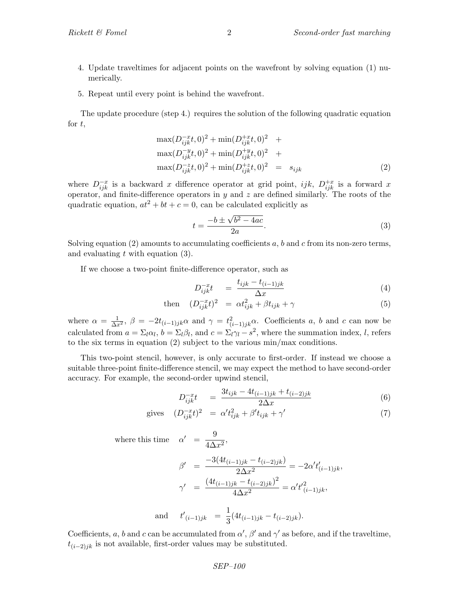- 4. Update traveltimes for adjacent points on the wavefront by solving equation (1) numerically.
- 5. Repeat until every point is behind the wavefront.

The update procedure (step 4.) requires the solution of the following quadratic equation for  $t$ ,

$$
\max(D_{ijk}^{-x}t,0)^{2} + \min(D_{ijk}^{+x}t,0)^{2} + \max(D_{ijk}^{-y}t,0)^{2} + \max(D_{ijk}^{-y}t,0)^{2} + \max(D_{ijk}^{-z}t,0)^{2} + \min(D_{ijk}^{+z}t,0)^{2} = s_{ijk}
$$
\n(2)

where  $D_{ijk}^{-x}$  is a backward x difference operator at grid point, ijk,  $D_{ijk}^{+x}$  is a forward x operator, and finite-difference operators in  $y$  and  $z$  are defined similarly. The roots of the quadratic equation,  $at^2 + bt + c = 0$ , can be calculated explicitly as

$$
t = \frac{-b \pm \sqrt{b^2 - 4ac}}{2a}.
$$
\n
$$
(3)
$$

Solving equation (2) amounts to accumulating coefficients a, b and c from its non-zero terms, and evaluating  $t$  with equation  $(3)$ .

If we choose a two-point finite-difference operator, such as

$$
D_{ijk}^{-x}t = \frac{t_{ijk} - t_{(i-1)jk}}{\Delta x} \tag{4}
$$

then 
$$
(D_{ijk}^{-x}t)^2 = \alpha t_{ijk}^2 + \beta t_{ijk} + \gamma
$$
 (5)

where  $\alpha = \frac{1}{\Delta x^2}$ ,  $\beta = -2t_{(i-1)jk}\alpha$  and  $\gamma = t_{(i-1)jk}^2\alpha$ . Coefficients a, b and c can now be calculated from  $a = \Sigma_l \alpha_l$ ,  $b = \Sigma_l \beta_l$ , and  $c = \Sigma_l \gamma_l - s^2$ , where the summation index, l, refers to the six terms in equation (2) subject to the various min/max conditions.

This two-point stencil, however, is only accurate to first-order. If instead we choose a suitable three-point finite-difference stencil, we may expect the method to have second-order accuracy. For example, the second-order upwind stencil,

$$
D_{ijk}^{-x}t = \frac{3t_{ijk} - 4t_{(i-1)jk} + t_{(i-2)jk}}{2\Delta x}
$$
(6)

$$
\text{gives} \quad (D_{ijk}^{-x}t)^2 \quad = \alpha' t_{ijk}^2 + \beta' t_{ijk} + \gamma' \tag{7}
$$

where this time  $\alpha' = \frac{9}{44}$ 

$$
\beta' = \frac{-3(4t_{(i-1)jk} - t_{(i-2)jk})}{2\Delta x^2} = -2\alpha' t'_{(i-1)jk},
$$

$$
\gamma' = \frac{(4t_{(i-1)jk} - t_{(i-2)jk})^2}{4\Delta x^2} = \alpha' t'^2_{(i-1)jk},
$$

and 
$$
t'_{(i-1)jk} = \frac{1}{3}(4t_{(i-1)jk} - t_{(i-2)jk}).
$$

 $rac{6}{4\Delta x^2}$ 

Coefficients, a, b and c can be accumulated from  $\alpha'$ ,  $\beta'$  and  $\gamma'$  as before, and if the traveltime,  $t_{(i-2)jk}$  is not available, first-order values may be substituted.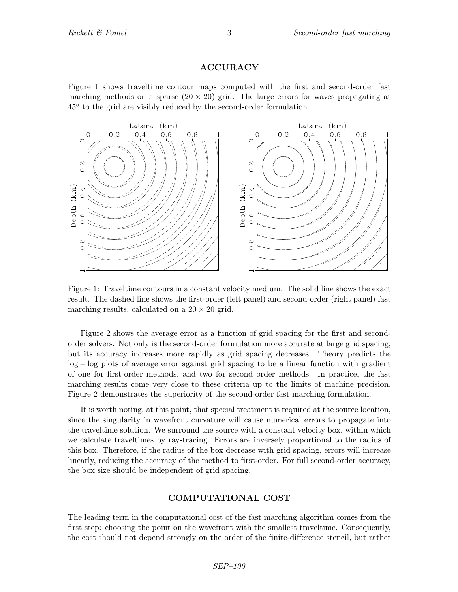# ACCURACY

Figure 1 shows traveltime contour maps computed with the first and second-order fast marching methods on a sparse  $(20 \times 20)$  grid. The large errors for waves propagating at 45◦ to the grid are visibly reduced by the second-order formulation.



Figure 1: Traveltime contours in a constant velocity medium. The solid line shows the exact result. The dashed line shows the first-order (left panel) and second-order (right panel) fast marching results, calculated on a  $20 \times 20$  grid.

Figure 2 shows the average error as a function of grid spacing for the first and secondorder solvers. Not only is the second-order formulation more accurate at large grid spacing, but its accuracy increases more rapidly as grid spacing decreases. Theory predicts the log − log plots of average error against grid spacing to be a linear function with gradient of one for first-order methods, and two for second order methods. In practice, the fast marching results come very close to these criteria up to the limits of machine precision. Figure 2 demonstrates the superiority of the second-order fast marching formulation.

It is worth noting, at this point, that special treatment is required at the source location, since the singularity in wavefront curvature will cause numerical errors to propagate into the traveltime solution. We surround the source with a constant velocity box, within which we calculate traveltimes by ray-tracing. Errors are inversely proportional to the radius of this box. Therefore, if the radius of the box decrease with grid spacing, errors will increase linearly, reducing the accuracy of the method to first-order. For full second-order accuracy, the box size should be independent of grid spacing.

## COMPUTATIONAL COST

The leading term in the computational cost of the fast marching algorithm comes from the first step: choosing the point on the wavefront with the smallest traveltime. Consequently, the cost should not depend strongly on the order of the finite-difference stencil, but rather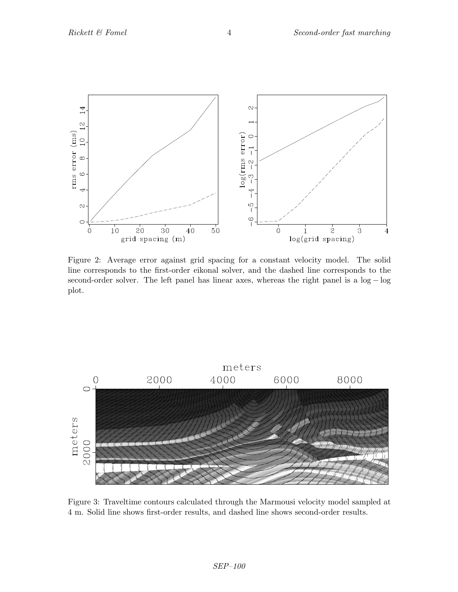

Figure 2: Average error against grid spacing for a constant velocity model. The solid line corresponds to the first-order eikonal solver, and the dashed line corresponds to the second-order solver. The left panel has linear axes, whereas the right panel is a log − log plot.



Figure 3: Traveltime contours calculated through the Marmousi velocity model sampled at 4 m. Solid line shows first-order results, and dashed line shows second-order results.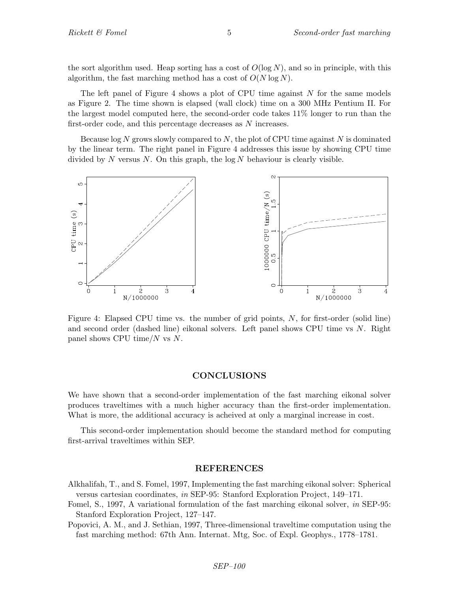the sort algorithm used. Heap sorting has a cost of  $O(\log N)$ , and so in principle, with this algorithm, the fast marching method has a cost of  $O(N \log N)$ .

The left panel of Figure 4 shows a plot of CPU time against  $N$  for the same models as Figure 2. The time shown is elapsed (wall clock) time on a 300 MHz Pentium II. For the largest model computed here, the second-order code takes 11% longer to run than the first-order code, and this percentage decreases as N increases.

Because  $\log N$  grows slowly compared to N, the plot of CPU time against N is dominated by the linear term. The right panel in Figure 4 addresses this issue by showing CPU time divided by  $N$  versus  $N$ . On this graph, the log  $N$  behaviour is clearly visible.



Figure 4: Elapsed CPU time vs. the number of grid points, N, for first-order (solid line) and second order (dashed line) eikonal solvers. Left panel shows CPU time vs N. Right panel shows CPU time/ $N$  vs  $N$ .

#### CONCLUSIONS

We have shown that a second-order implementation of the fast marching eikonal solver produces traveltimes with a much higher accuracy than the first-order implementation. What is more, the additional accuracy is acheived at only a marginal increase in cost.

This second-order implementation should become the standard method for computing first-arrival traveltimes within SEP.

## REFERENCES

- Alkhalifah, T., and S. Fomel, 1997, Implementing the fast marching eikonal solver: Spherical versus cartesian coordinates, in SEP-95: Stanford Exploration Project, 149–171.
- Fomel, S., 1997, A variational formulation of the fast marching eikonal solver, in SEP-95: Stanford Exploration Project, 127–147.
- Popovici, A. M., and J. Sethian, 1997, Three-dimensional traveltime computation using the fast marching method: 67th Ann. Internat. Mtg, Soc. of Expl. Geophys., 1778–1781.